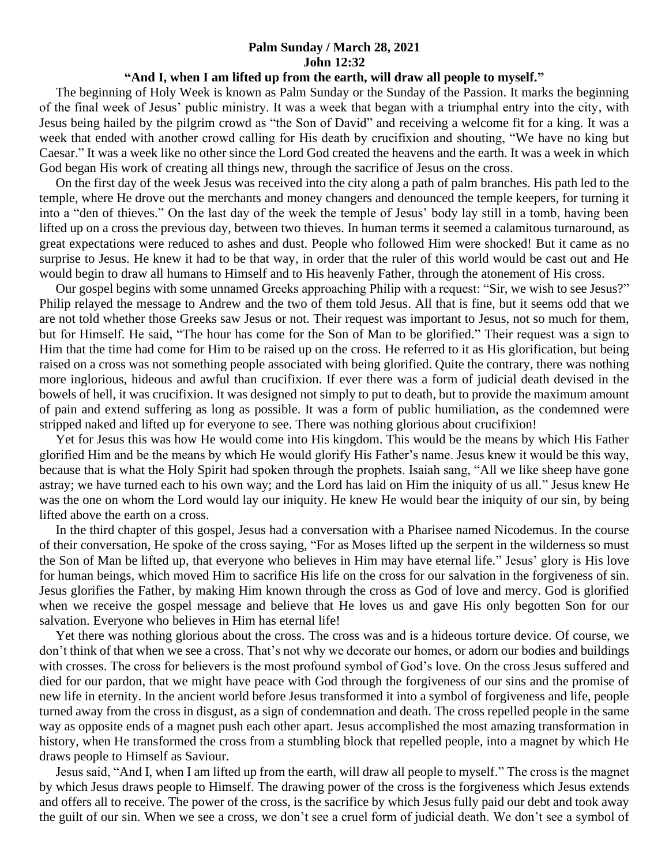## **Palm Sunday / March 28, 2021 John 12:32**

## **"And I, when I am lifted up from the earth, will draw all people to myself."**

 The beginning of Holy Week is known as Palm Sunday or the Sunday of the Passion. It marks the beginning of the final week of Jesus' public ministry. It was a week that began with a triumphal entry into the city, with Jesus being hailed by the pilgrim crowd as "the Son of David" and receiving a welcome fit for a king. It was a week that ended with another crowd calling for His death by crucifixion and shouting, "We have no king but Caesar." It was a week like no other since the Lord God created the heavens and the earth. It was a week in which God began His work of creating all things new, through the sacrifice of Jesus on the cross.

 On the first day of the week Jesus was received into the city along a path of palm branches. His path led to the temple, where He drove out the merchants and money changers and denounced the temple keepers, for turning it into a "den of thieves." On the last day of the week the temple of Jesus' body lay still in a tomb, having been lifted up on a cross the previous day, between two thieves. In human terms it seemed a calamitous turnaround, as great expectations were reduced to ashes and dust. People who followed Him were shocked! But it came as no surprise to Jesus. He knew it had to be that way, in order that the ruler of this world would be cast out and He would begin to draw all humans to Himself and to His heavenly Father, through the atonement of His cross.

 Our gospel begins with some unnamed Greeks approaching Philip with a request: "Sir, we wish to see Jesus?" Philip relayed the message to Andrew and the two of them told Jesus. All that is fine, but it seems odd that we are not told whether those Greeks saw Jesus or not. Their request was important to Jesus, not so much for them, but for Himself. He said, "The hour has come for the Son of Man to be glorified." Their request was a sign to Him that the time had come for Him to be raised up on the cross. He referred to it as His glorification, but being raised on a cross was not something people associated with being glorified. Quite the contrary, there was nothing more inglorious, hideous and awful than crucifixion. If ever there was a form of judicial death devised in the bowels of hell, it was crucifixion. It was designed not simply to put to death, but to provide the maximum amount of pain and extend suffering as long as possible. It was a form of public humiliation, as the condemned were stripped naked and lifted up for everyone to see. There was nothing glorious about crucifixion!

 Yet for Jesus this was how He would come into His kingdom. This would be the means by which His Father glorified Him and be the means by which He would glorify His Father's name. Jesus knew it would be this way, because that is what the Holy Spirit had spoken through the prophets. Isaiah sang, "All we like sheep have gone astray; we have turned each to his own way; and the Lord has laid on Him the iniquity of us all." Jesus knew He was the one on whom the Lord would lay our iniquity. He knew He would bear the iniquity of our sin, by being lifted above the earth on a cross.

 In the third chapter of this gospel, Jesus had a conversation with a Pharisee named Nicodemus. In the course of their conversation, He spoke of the cross saying, "For as Moses lifted up the serpent in the wilderness so must the Son of Man be lifted up, that everyone who believes in Him may have eternal life." Jesus' glory is His love for human beings, which moved Him to sacrifice His life on the cross for our salvation in the forgiveness of sin. Jesus glorifies the Father, by making Him known through the cross as God of love and mercy. God is glorified when we receive the gospel message and believe that He loves us and gave His only begotten Son for our salvation. Everyone who believes in Him has eternal life!

 Yet there was nothing glorious about the cross. The cross was and is a hideous torture device. Of course, we don't think of that when we see a cross. That's not why we decorate our homes, or adorn our bodies and buildings with crosses. The cross for believers is the most profound symbol of God's love. On the cross Jesus suffered and died for our pardon, that we might have peace with God through the forgiveness of our sins and the promise of new life in eternity. In the ancient world before Jesus transformed it into a symbol of forgiveness and life, people turned away from the cross in disgust, as a sign of condemnation and death. The cross repelled people in the same way as opposite ends of a magnet push each other apart. Jesus accomplished the most amazing transformation in history, when He transformed the cross from a stumbling block that repelled people, into a magnet by which He draws people to Himself as Saviour.

 Jesus said, "And I, when I am lifted up from the earth, will draw all people to myself." The cross is the magnet by which Jesus draws people to Himself. The drawing power of the cross is the forgiveness which Jesus extends and offers all to receive. The power of the cross, is the sacrifice by which Jesus fully paid our debt and took away the guilt of our sin. When we see a cross, we don't see a cruel form of judicial death. We don't see a symbol of